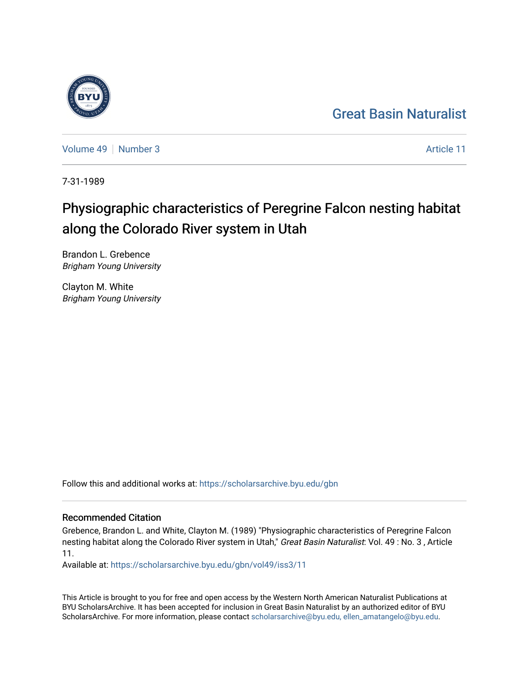## [Great Basin Naturalist](https://scholarsarchive.byu.edu/gbn)

[Volume 49](https://scholarsarchive.byu.edu/gbn/vol49) [Number 3](https://scholarsarchive.byu.edu/gbn/vol49/iss3) Article 11

7-31-1989

# Physiographic characteristics of Peregrine Falcon nesting habitat along the Colorado River system in Utah

Brandon L. Grebence Brigham Young University

Clayton M. White Brigham Young University

Follow this and additional works at: [https://scholarsarchive.byu.edu/gbn](https://scholarsarchive.byu.edu/gbn?utm_source=scholarsarchive.byu.edu%2Fgbn%2Fvol49%2Fiss3%2F11&utm_medium=PDF&utm_campaign=PDFCoverPages) 

### Recommended Citation

Grebence, Brandon L. and White, Clayton M. (1989) "Physiographic characteristics of Peregrine Falcon nesting habitat along the Colorado River system in Utah," Great Basin Naturalist: Vol. 49 : No. 3, Article 11.

Available at: [https://scholarsarchive.byu.edu/gbn/vol49/iss3/11](https://scholarsarchive.byu.edu/gbn/vol49/iss3/11?utm_source=scholarsarchive.byu.edu%2Fgbn%2Fvol49%2Fiss3%2F11&utm_medium=PDF&utm_campaign=PDFCoverPages) 

This Article is brought to you for free and open access by the Western North American Naturalist Publications at BYU ScholarsArchive. It has been accepted for inclusion in Great Basin Naturalist by an authorized editor of BYU ScholarsArchive. For more information, please contact [scholarsarchive@byu.edu, ellen\\_amatangelo@byu.edu.](mailto:scholarsarchive@byu.edu,%20ellen_amatangelo@byu.edu)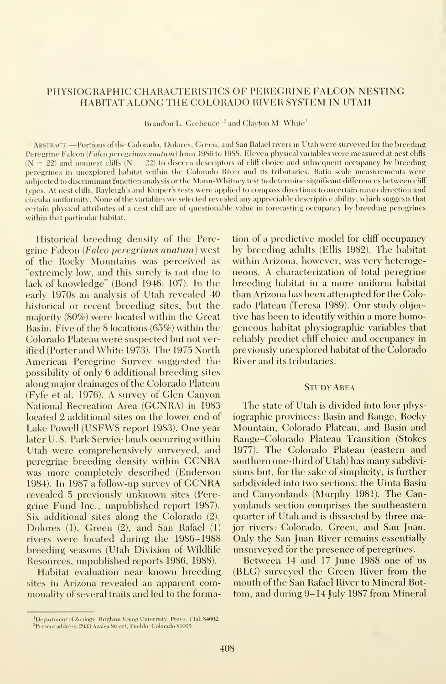#### PHYSIOGRAPHIC CHARACTERISTICS OF PEREGRINE FALCON NESTING HABITAT ALONG THE COLORADO RIVER SYSTEM IN UTAH

Brandon L. Grebence<sup>1,2</sup> and Clayton M. White<sup>1</sup>

ABSTRACT. —Portions of the Colorado, Dolores, Green, and San Rafael rivers in Utah were surveyed for the breeding Peregrine Falcon (Falco peregrinus anatum) from 1986 to 1988. Eleven physical variables were measured at nest cliffs  $(N = 22)$  and nonnest cliffs  $(N = 22)$  to discern descriptors of cliff choice and subsequent occupancy by breeding peregrines in unexplored habitat within the Colorado River and its tributaries. Ratio scale measurements were subjected to discriminant function analysis or the Mann-Whitney test to determine significant differences between cliff types. At nest cliffs, Rayleigh's and Kuiper's tests were applied to compass directions to ascertain mean direction and circular uniformity. None of the variables we selected revealed any appreciable descriptive ability, which suggests that certain physical attributes of a nest cliff are of questionable value in forecasting occupancy by breeding peregrines within that particular habitat.

Historical breeding density of the Peregrine Falcon (Falco peregrinus anatum) west of the Rocky Mountains was perceived as "extremely low, and this surely is not due to lack of knowledge" (Bond 1946: 107). In the early 1970s an analysis of Utah revealed 40 historical or recent breeding sites, but the majority (80%) were located within the Great Basin. Five of the 8 locations (65%) within the Colorado Plateau were suspected but not verified (Porter and White 1973). The 1975 North American Peregrine Survey suggested the possibility of only 6 additional breeding sites along major drainages of the Colorado Plateau (Fyfe et al. 1976). A survey of Glen Canyon National Recreation Area (GCNRA) in 1983 located 2 additional sites on the lower end of Lake Powell (USFWS report 1983). One year later U.S. Park Service lands occurring within Utah were comprehensively surveyed, and peregrine breeding density within GCNRA was more completely described (Enderson 1984). In <sup>1987</sup> <sup>a</sup> follow-up survey of GCNRA revealed 5 previously unknown sites (Peregrine Fund Inc., unpublished report 1987). Six additional sites along the Colorado (2), Dolores (1), Green (2), and San Rafael (1) rivers were located during the 1986-1988 breeding seasons (Utah Division of Wildlife Resources, unpublished reports 1986, 1988).

Habitat evaluation near known breeding sites in Arizona revealed an apparent commonality of several traits and led to the forma-

#### Study Area

The state of Utah is divided into four physiographic provinces: Basin and Range, Rocky Mountain, Colorado Plateau, and Basin and Range-Colorado Plateau Transition (Stokes 1977). The Colorado Plateau (eastern and southern one-third of Utah) has many subdivisions but, for the sake of simplicity, is further subdivided into two sections: the Uinta Basin and Canyonlands (Murphy 1981). The Canyonlands section comprises the southeastern quarter of Utah and is dissected by three major rivers: Colorado, Green, and San Juan. Only the San Juan River remains essentially unsurveyed for the presence of peregrines.

Between 14 and 17 June 1988 one of us (BLG) surveyed the Green River from the mouth of the San Rafael River to Mineral Bot tom, and during 9-14 July 1987 from Mineral

tion of a predictive model for cliff occupancy by breeding adults (Ellis 1982). The habitat within Arizona, however, was very heterogeneous. A characterization of total peregrine breeding habitat in a more uniform habitat than Arizona has been attempted for the Colorado Plateau (Teresa 1989). Our study objective has been to identify within a more homogeneous habitat physiographic variables that reliably predict cliff choice and occupancy in previously unexplored habitat of the Colorado River and its tributaries.

Department ofZoology, Brigham Young University, Provo, Utah 84602.

<sup>2</sup> Present address: 2933 Azalea Street, Pueblo, Colorado 81005.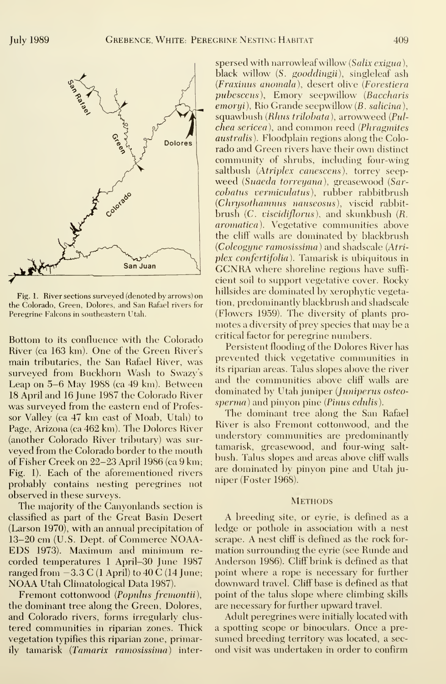

San Juan Fig. 1. River sections surveyed (denoted by arrows) on the Colorado, Green, Dolores, and San Rafael rivers for Peregrine Falcons in southeastern Utah.

Bottom to its confluence with the Colorado River (ca 163 km). One of the Green River's main tributaries, the San Rafael River, was surveyed from Buckhorn Wash to Swazy's Leap on 5-6 May 19S8 (ca 49 km). Between 18 April and 16 June 1987 the Colorado River was surveyed from the eastern end of Professor Valley (ca 47 km east of Moab, Utah) to Page, Arizona (ca 462 km). The Dolores River (another Colorado River tributary) was sur veyed from the Colorado border to the mouth of Fisher Creek on 22-23 April 1986 (ca 9 km; Fig. 1). Each of the aforementioned rivers probably contains nesting peregrines not observed in these surveys.

The majority of the Canyonlands section is classified as part of the Great Basin Desert (Larson 1970), with an annual precipitation of 13-20 cm (U.S. Dept. of Commerce NOAA-EDS 1973). Maximum and minimum re corded temperatures <sup>1</sup> April-30 June 1987 ranged from -3.3 <sup>C</sup> (1 April) to <sup>40</sup> <sup>C</sup> (14 June; NOAA Utah Climatological Data 1987).

Fremont cottonwood (Populus fremontii), the dominant tree along the Green, Dolores, and Colorado rivers, forms irregularly clus tered communities in riparian zones. Thick vegetation typifies this riparian zone, primarily tamarisk (Tamarix ramosissima) inter-

spersed with narrowleaf willow *(Salix exigua)*, black willow (S. gooddingii), singleleaf ash (Fraxinus anomala), desert olive (Forestiera pubescens), Emory seepwillow (Baccharis emoryi), Rio Grande seepwillow (B. salicina), squawbush (*Rhus trilobata*), arrowweed (*Pul*chea sericea), and common reed (Phragmites australis). Floodplain regions along the Colorado and Green rivers have their own distinct community of shrubs, including four-wing saltbush (Atriplex canescens), torrey seepweed {Suaeda torreyana), greasewood (Sarcobatus vermiculatus), rubber rabbitbrush (Chrysothamnus nauseosus), viscid rabbit brush (C. *viscidiflorus*), and skunkbush (R. aromatica). Vegetative communities above the cliff walls are dominated by blackbrush (Coleogyne ramosissima ) and shadscale (Atriplex confertifolia). Tamarisk is ubiquitous in<br>GCNRA where shoreline regions have sufficient soil to support vegetative cover. Rocky hillsides are dominated by xerophytic vegetation, predominantly blackbrush and shadscale (Flowers 1959). The diversity of plants pro motes a diversity of prey species that may be a critical factor for peregrine numbers.

Persistent flooding of the Dolores River has prevented thick vegetative communities in its riparian areas. Talus slopes above the river and the communities above cliff walls are dominated by Utah juniper (Juniperus osteo sperma) and pinyon pine (Pinus edulis).

The dominant tree along the San Rafael River is also Fremont cottonwood, and the understory communities are predominantly tamarisk, greasewood, and four-wing salt bush. Talus slopes and areas above cliff walls are dominated by pinyon pine and Utah juniper (Foster 1968).

#### **METHODS**

A breeding site, or eyrie, is defined as <sup>a</sup> ledge or pothole in association with a nest scrape. A nest cliff is defined as the rock for mation surrounding the eyrie (see Runde and Anderson 1986). Cliff brink is defined as that point where a rope is necessary for further downward travel. Cliff base is defined as that point of the talus slope where climbing skills are necessary for further upward travel.

Adult peregrines were initially located with a spotting scope or binoculars. Once a pre sumed breeding territory was located, a sec ond visit was undertaken in order to confirm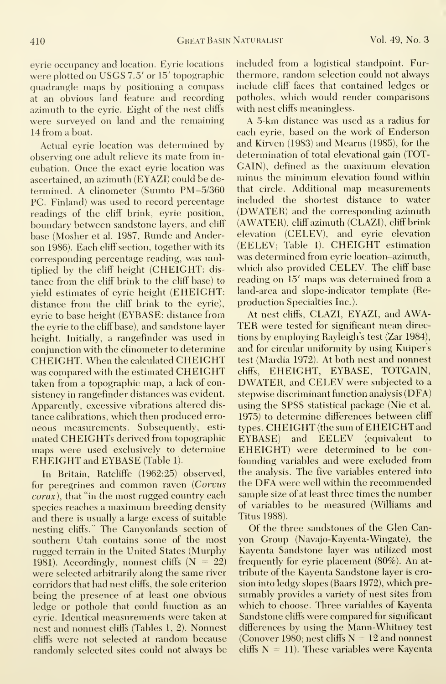eyrie occupancy and location. Eyrie locations were plotted on USGS 7.5' or 15' topographicquadrangle maps by positioning a compass at an obvious land feature and recording azimuth to the eyrie. Eight of the nest cliffs were surveyed on land and the remaining 14 from a boat.

Actual eyrie location was determined by observing one adult relieve its mate from in cubation. Once the exact eyrie location was ascertained, an azimuth (EYAZI) could be determined. A clinometer (Suunto PM-5/360 PC. Finland) was used to record percentage readings of the cliff brink, eyrie position, boundary between sandstone layers, and cliff base (Mosher et al. 1987, Runde and Anderson 1986). Each cliff section, together with its corresponding percentage reading, was multiplied by the cliff height (CHEIGHT: dis tance from the cliff brink to the cliff base) to yield estimates of eyrie height (EHEIGHT: distance from the cliff brink to the eyrie), eyrie to base height (EYBASE: distance from the eyrie to the cliff base), and sandstone layer height. Initially, a rangefinder was used in conjunction with the clinometer to determine CHEIGHT. When the calculated CHEIGHT was compared with the estimated CHEIGHT taken from a topographic map, a lack of consistency in rangefinder distances was evident. Apparently, excessive vibrations altered dis tance calibrations, which then produced erro neous measurements. Subsequently, esti mated CHEIGHTs derived from topographic maps were used exclusively to determine EHEIGHT and EYBASE (Table 1).

In Britain, Ratcliffe (1962:25) observed, for peregrines and common raven (Corvus corax), that "in the most rugged country each species reaches <sup>a</sup> maximum breeding density and there is usually a large excess of suitable nesting cliffs." The Canyonlands section of southern Utah contains some of the most rugged terrain in the United States (Murphy 1981). Accordingly, nonnest cliffs  $(N = 22)$ were selected arbitrarily along the same river corridors that had nest cliffs, the sole criterion being the presence of at least one obvious ledge or pothole that could function as an eyrie. Identical measurements were taken at nest and nonnest cliffs (Tables 1, 2). Nonnest cliffs were not selected at random because randomly selected sites could not always be included from a logistical standpoint. Fur thermore, random selection could not always include cliff faces that contained ledges or potholes, which would render comparisons with nest cliffs meaningless.

A 5-km distance was used as <sup>a</sup> radius for each eyrie, based on the work of Enderson and Kirven (1983) and Mearns (1985), for the determination of total elevational gain (TOT-GAIN), defined as the maximum elevation minus the minimum elevation found within that circle. Additional map measurements included the shortest distance to water (DWATER) and the corresponding azimuth (AWATER), cliff azimuth (CLAZI), cliff brink elevation (CELEV), and eyrie elevation (EELEV; Table 1). CHEIGHT estimation was determined from eyrie location-azimuth, which also provided CELEV. The cliff base reading on 15' maps was determined from a land-area and slope-indicator template (Reproduction Specialties Inc.).

At nest cliffs, CLAZI, EYAZI, and AWA-TER were tested for significant mean directions by employing Rayleigh's test (Zar 1984), and for circular uniformity by using Kuiper's test (Mardia 1972). At both nest and nonnest cliffs, EHEIGHT, EYBASE, TOTGAIN, DWATER, and CELEV were subjected to <sup>a</sup> stepwise discriminant function analysis (DFA) using the SPSS statistical package (Nie et al. 1975) to determine differences between cliff types. CHEIGHT (the sum of EHEIGHT and and EELEV (equivalent to EHEIGHT) were determined to be con founding variables and were excluded from the analysis. The five variables entered into the DFA were well within the recommended sample size of at least three times the number of variables to be measured (Williams and Titus 1988).

Of the three sandstones of the Glen Canyon Group (Navajo-Kayenta-Wingate), the Kayenta Sandstone layer was utilized most frequently for eyrie placement (80%). An at tribute of the Kayenta Sandstone layer is erosion into ledgy slopes (Baars 1972), which pre sumably provides a variety of nest sites from which to choose. Three variables of Kayenta Sandstone cliffs were compared for significant differences by using the Mann-Whitney test (Conover 1980; nest cliffs  $N = 12$  and nonnest cliffs  $N = 11$ ). These variables were Kayenta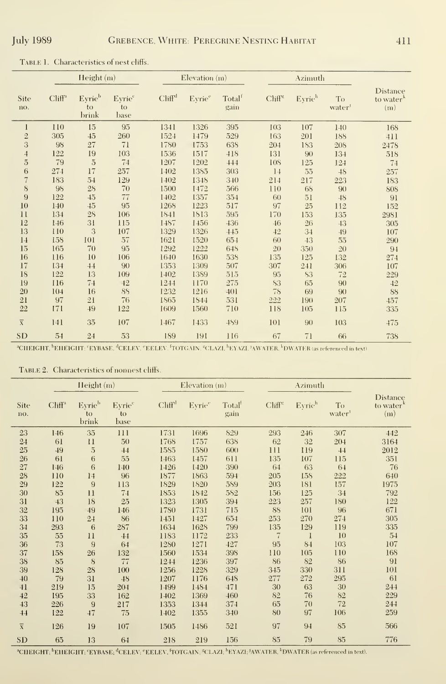|                         |           | Height(m)             |                                  |                    | Elevation (m)      |                            |                  | Azimuth   |             |                                                 |
|-------------------------|-----------|-----------------------|----------------------------------|--------------------|--------------------|----------------------------|------------------|-----------|-------------|-------------------------------------------------|
| <b>Site</b><br>no.      | $Cliff^a$ | Eyrieb<br>to<br>brink | Eyrie <sup>c</sup><br>to<br>base | Cliff <sup>d</sup> | Eyrie <sup>e</sup> | Total <sup>f</sup><br>gain | $Cliff^{\kappa}$ | Eyrieh    | To<br>water | <b>Distance</b><br>to water <sup>k</sup><br>(m) |
| $\mathbf{I}$            | 110       | 15                    | 95                               | 1341               | 1326               | 395                        | 103              | 107       | 140         | 168                                             |
| $\overline{2}$          | 305       | 45                    | 260                              | 1524               | 1479               | 529                        | 163              | 201       | 188         | 411                                             |
| 3                       | 98        | 27                    | 71                               | 1780               | 1753               | 638                        | 204              | 183       | 208         | 2478                                            |
| $\overline{1}$          | 122       | 19                    | 103                              | 1536               | 1517               | 418                        | 131              | 90        | 134         | 518                                             |
| $\overline{5}$          | 79        | $\overline{5}$        | 74                               | 1207               | 1202               | 444                        | <b>108</b>       | 125       | 124         | 74                                              |
| $\,$ 6 $\,$             | 274       | 17                    | 257                              | 1402               | 1385               | 303                        | 14               | 55        | 48          | 257                                             |
| $\overline{7}$          | 183       | 54                    | 129                              | 1402               | 1348               | 340                        | 214              | 217       | 223         | 183                                             |
| $8\,$                   | 98        | 28                    | 70                               | 1500               | 1472               | 566                        | 110              | 68        | 90          | 808                                             |
| $\overline{9}$          | 122       | 45                    | 77                               | 1402               | 1357               | 354                        | 60               | 51        | 48          | 91                                              |
| 10                      | 140       | 45                    | 95                               | 1268               | 1223               | 517                        | 97               | 25        | 112         | 152                                             |
| 11                      | 134       | $28\,$                | 106                              | 1841               | 1813               | 595                        | 170              | 153       | 135         | 2981                                            |
| 12                      | 146       | 31                    | 115                              | 1487               | 1456               | 436                        | 46               | 26        | 43          | 305                                             |
| 13                      | 110       | 3                     | 107                              | 1329               | 1326               | 445                        | 42               | 34        | 49          | 107                                             |
| 14                      | 158       | 101                   | 57                               | 1621               | 1520               | 654                        | 60               | 43        | 55          | 290                                             |
| 15                      | 165       | 70                    | 95                               | 1292               | 1222               | 648                        | 20               | 350       | 20          | 94                                              |
| 16                      | 116       | 10                    | 106                              | 1640               | 1630               | 538                        | 135              | 125       | 132         | 274                                             |
| 17                      | 134       | 44                    | 90                               | 1353               | 1309               | 507                        | 307              | 241       | 306         | 107                                             |
| 18                      | 122       | 13                    | 109                              | 1402               | 1389               | 515                        | 95               | <b>S3</b> | 72          | 229                                             |
| 19                      | 116       | 74                    | 42                               | 1244               | 1170               | 275                        | <b>S3</b>        | 65        | 90          | 42                                              |
| 20                      | 104       | 16                    | 88                               | 1232               | 1216               | 401                        | 78               | 69        | 90          | 88                                              |
| 21                      | 97        | 21                    | 76                               | <b>1865</b>        | <b>1844</b>        | 531                        | 222              | 190       | 207         | 457                                             |
| 22                      | 171       | 49                    | 122                              | 1609               | 1560               | 710                        | 118              | 105       | 115         | 335                                             |
| $\overline{\mathbf{x}}$ | 141       | 35                    | 107                              | 1467               | 1433               | 489                        | 101              | 90        | 103         | 475                                             |
| SD                      | 54        | 24                    | 53                               | 189                | 191                | 116                        | 67               | 71        | 66          | 738                                             |

TABLE 1. Characteristics of nest cliffs.

<sup>a</sup>CHEIGHT, <sup>b</sup>EHEIGHT: "EYBASE, <sup>d</sup>CELEV, "EELEV, <sup>f</sup>TOTGAIN, "CLAZI, <sup>h</sup>EYAZI, <sup>)</sup>AWATER, <sup>1</sup>DWATER (as referenced in text)

TABLE 2. Characteristics of nonnest cliffs.

|                | Height(m) |                                             |                                  | Elevation $(m)$ |                    |                            | Azimuth        |        |                          |                                                 |
|----------------|-----------|---------------------------------------------|----------------------------------|-----------------|--------------------|----------------------------|----------------|--------|--------------------------|-------------------------------------------------|
| Site<br>no.    | $Cliff^a$ | Eyrie <sup>b</sup><br>$\mathbf{t}$<br>brink | Eyrie <sup>c</sup><br>to<br>base | $Cliff^d$       | Eyrie <sup>e</sup> | Total <sup>t</sup><br>gain | $Cliff^{\pi}$  | Eyrich | To<br>water <sup>1</sup> | <b>Distance</b><br>to water <sup>k</sup><br>(m) |
| 23             | 146       | 35                                          | 111                              | 1731            | 1696               | 829                        | 293            | 246    | 307                      | 442                                             |
| 24             | 61        | 11                                          | 50                               | 1768            | 1757               | 638                        | 62             | 32     | 204                      | 3164                                            |
| 25             | 49        | $\overline{5}$                              | 44                               | 1585            | 1580               | 600                        | 111            | 119    | 44                       | 2012                                            |
| 26             | 61        | 6                                           | 55                               | 1463            | 1457               | 611                        | 135            | 107    | 115                      | 351                                             |
| 27             | 146       | 6                                           | 140                              | 1426            | 1420               | 390                        | 64             | 63     | 64                       | 76                                              |
| 28             | 110       | 14                                          | 96                               | 1877            | 1863               | 594                        | 205            | 158    | 222                      | 640                                             |
| 29             | 122       | 9                                           | 113                              | 1829            | 1820               | 589                        | 203            | 181    | 157                      | 1975                                            |
| 30             | 85        | $_{11}$                                     | 74                               | 1853            | 1842               | 582                        | 156            | 125    | 34                       | 792                                             |
| 31             | 43        | 18                                          | 25                               | 1323            | 1305               | 394                        | 223            | 257    | 180                      | 122                                             |
| 32             | 195       | 49                                          | 146                              | 1780            | 1731               | 715                        | 88             | 101    | 96                       | 671                                             |
| 33             | 110       | 24                                          | 86                               | 1451            | 1427               | 654                        | 253            | 270    | 274                      | 305                                             |
| 34             | 293       | 6                                           | 287                              | 1634            | 1628               | 799                        | 135            | 129    | 119                      | 335                                             |
| 35             | 55        | 11                                          | $-1-1$                           | 1183            | 1172               | 233                        | $\overline{7}$ | -1     | 10                       | 54                                              |
| 36             | 73        | 9                                           | 64                               | 1280            | 1271               | 427                        | 95             | 84     | 103                      | 107                                             |
| 37             | 158       | 26                                          | 132                              | 1560            | 1534               | 398                        | 110            | 105    | 110                      | 168                                             |
| 38             | 85        | 8                                           | 77                               | 1244            | 1236               | 397                        | 86             | $82\,$ | 86                       | 91                                              |
| 39             | 128       | 28                                          | 100                              | 1256            | 1228               | 329                        | 345            | 330    | 311                      | 101                                             |
| 40             | 79        | 31                                          | 48                               | 1207            | 1176               | 648                        | 277            | 272    | 295                      | 61                                              |
| 41             | 219       | 15                                          | 204                              | 1499            | 1484               | 471                        | 30             | 63     | 30                       | 244                                             |
| 42             | 195       | 33                                          | 162                              | 1402            | 1369               | 460                        | 82             | 76     | 82                       | 229                                             |
| 43             | 226       | 9                                           | 217                              | 1353            | 1344               | 374                        | 65             | 70     | 72                       | 244                                             |
| 44             | 122       | 47                                          | 75                               | 1402            | 1355               | 340                        | 80             | 97     | 106                      | 259                                             |
| $\overline{x}$ | 126       | 19                                          | 107                              | 1505            | 1486               | 521                        | 97             | 94     | 85                       | 566                                             |
| <b>SD</b>      | 65        | 13                                          | 64                               | 218             | 219                | 156                        | 85             | 79     | 85                       | 776                                             |

<sup>a</sup>CHEIGHT; <sup>b</sup>EHEIGHT; <sup>e</sup>EYBASE; <sup>d</sup>CELEV; <sup>e</sup>EELEV, <sup>f</sup>TOTGAIN, <sup>g</sup>CLAZI; <sup>h</sup>EYAZI; <sup>J</sup>AWATER, <sup>k</sup>DWATER (as referenced in text).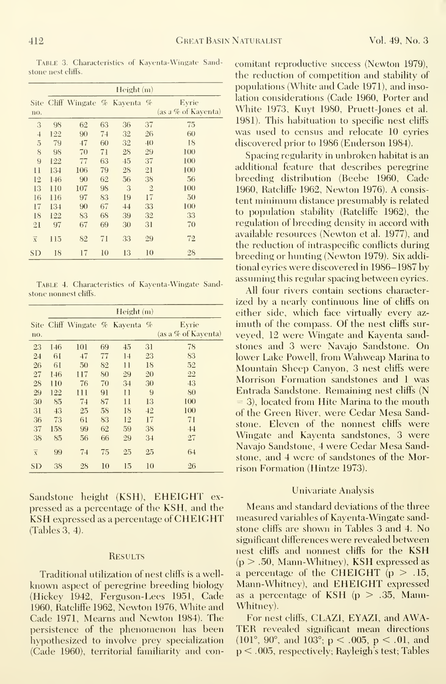Table 3. Characteristics of Kayenta-Wingate Sandstone nest cliffs.

|                         | Height(m) |                           |    |    |                |                              |  |  |
|-------------------------|-----------|---------------------------|----|----|----------------|------------------------------|--|--|
| Site:<br>no.            |           | Cliff Wingate % Kayenta % |    |    |                | Evrie<br>(as a % of Kaventa) |  |  |
| 3                       | 98        | 62                        | 63 | 36 | 37             | 75                           |  |  |
| $\overline{1}$          | 122       | 90                        | 74 | 32 | 26             | 60                           |  |  |
| 5                       | 79        | 47                        | 60 | 32 | 40             | 18                           |  |  |
| 8                       | 98        | 70                        | 71 | 28 | 29             | 100                          |  |  |
| 9                       | 122       | 77                        | 63 | 45 | 37             | 100                          |  |  |
| 11                      | 134       | 106                       | 79 | 28 | 21             | 100                          |  |  |
| 12                      | 146       | 90                        | 62 | 56 | 38             | 56                           |  |  |
| 13                      | 110       | 107                       | 98 | 3  | $\overline{2}$ | 100                          |  |  |
| 16                      | 116       | 97                        | 83 | 19 | 17             | 50                           |  |  |
| 17                      | 134       | 90                        | 67 | 44 | 33             | 100                          |  |  |
| 18                      | 122       | 83                        | 68 | 39 | 32             | 33                           |  |  |
| 21                      | 97        | 67                        | 69 | 30 | 31             | 70                           |  |  |
| $\overline{\textbf{x}}$ | 115       | 82                        | 71 | 33 | 29             | 72                           |  |  |
| SD                      | 18        | 17                        | 10 | 13 | 10             | 28                           |  |  |

TABLE 4. Characteristics of Kaventa-Wingate Sandstone nonnest cliffs.

|                | Height(m) |                                |    |         |    |                     |  |  |  |
|----------------|-----------|--------------------------------|----|---------|----|---------------------|--|--|--|
|                |           | Site Cliff Wingate % Kayenta % |    |         |    | Eyrie               |  |  |  |
| no.            |           |                                |    |         |    | (as a % of Kaventa) |  |  |  |
| 23             | 146       | 101                            | 69 | 45      | 31 | 78                  |  |  |  |
| 24             | 61        | 47                             | 77 | 14      | 23 | 83                  |  |  |  |
| 26             | 61        | 50                             | 82 | 11      | 18 | 52                  |  |  |  |
| 27             | 146       | 117                            | 80 | 29      | 20 | 22                  |  |  |  |
| 28             | 110       | 76                             | 70 | 34      | 30 | 43                  |  |  |  |
| 29             | 122       | 111                            | 91 | $_{11}$ | 9  | 80                  |  |  |  |
| 30             | 85        | 74                             | 87 | 11      | 13 | 100                 |  |  |  |
| 31             | 43        | 25                             | 58 | 18      | 42 | 100                 |  |  |  |
| 36             | 73        | 61                             | 83 | 12      | 17 | 71                  |  |  |  |
| 37             | 158       | 99                             | 62 | 59      | 38 | 44                  |  |  |  |
| 38             | 85        | 56                             | 66 | 29      | 34 | 27                  |  |  |  |
| $\overline{X}$ | 99        | 74                             | 75 | 25      | 25 | 64                  |  |  |  |
| <b>SD</b>      | 38        | 28                             | 10 | 15      | 10 | 26                  |  |  |  |

Sandstone height (KSH), EHEIGHT expressed as a percentage of the KSH, and the KSH expressed as a percentage of CHEIGHT (Tables 3, 4).

#### **RESULTS**

Traditional utilization of nest cliffs is a wellknown aspect of peregrine breeding biology (Hickey 1942, Ferguson-Lees 1951, Cade 1960, Ratcliffe 1962, Newton 1976, White and Cade 1971. Mearns and Newton 1984). The persistence of the phenomenon has been hypothesized to involve prey specialization (Cade 1960), territorial familiarity and concomitant reproductive success (Newton 1979), the reduction of competition and stability of populations (White and Cade 1971), and insolation considerations (Cade 1960, Porter and White 1973, Kuyt 1980, Pruett-Jones et al. 1981). This habituation to specific nest eliffs was used to census and relocate 10 eyries discovered prior to 1986 (Enderson 1984).

Spacing regularity in unbroken habitat is an additional feature that describes peregrine breeding distribution (Beebe 1960, Cade 1960, Ratcliffe 1962, Newton 1976). A consistent minimum distance presumably is related to population stability (Rateliffe 1962), the regulation of breeding density in accord with available resources (Newton et al. 1977), and the reduction of intraspecific conflicts during breeding or hunting (Newton 1979). Six additional evries were discovered in 1986-1987 by assuming this regular spacing between eyries.

All four rivers contain sections characterized by a nearly continuous line of cliffs on either side, which face virtually every azimuth of the compass. Of the nest cliffs surveved, 12 were Wingate and Kaventa sandstones and 3 were Navajo Sandstone. On lower Lake Powell, from Wahweap Marina to Mountain Sheep Canyon, 3 nest cliffs were Morrison Formation sandstones and 1 was Entrada Sandstone. Remaining nest cliffs (N  $=$  3), located from Hite Marina to the mouth of the Green River, were Cedar Mesa Sandstone. Eleven of the nonnest cliffs were Wingate and Kaventa sandstones, 3 were Navajo Sandstone, 4 were Cedar Mesa Sandstone, and 4 were of sandstones of the Morrison Formation (Hintze 1973).

#### Univariate Analysis

Means and standard deviations of the three measured variables of Kayenta-Wingate sandstone cliffs are shown in Tables 3 and 4. No significant differences were revealed between nest cliffs and nonnest cliffs for the KSH  $(p > .50,$  Mann-Whitney), KSH expressed as a percentage of the CHEIGHT  $(p > .15, )$ Mann-Whitnev), and EHEIGHT expressed as a percentage of KSH  $(p > .35,$  Mann-Whitney).

For nest cliffs, CLAZI, EYAZI, and AWA-TER revealed significant mean directions (101°, 90°, and 103°; p < .005, p < .01, and  $p < .005$ , respectively; Rayleigh's test; Tables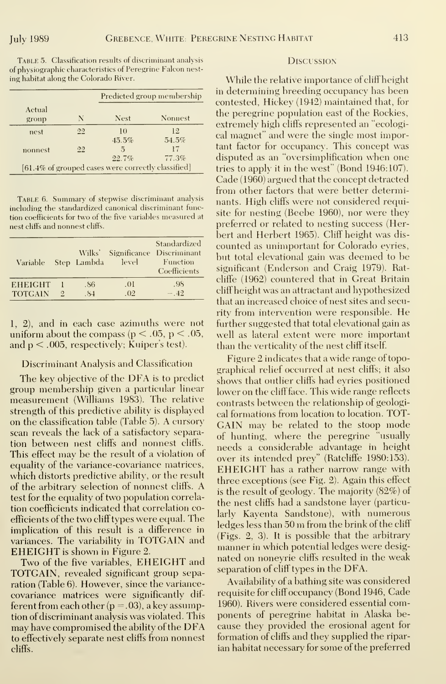TABLE 5. Classification results of discriminant analysis of physiographic characteristics of Peregrine Falcon nest ing habitat along the Colorado River.

|                 |    | Predicted group membership                         |         |  |  |
|-----------------|----|----------------------------------------------------|---------|--|--|
| Actual<br>group | N  | <b>Nest</b>                                        | Nonnest |  |  |
| nest            | 22 | 1 <sub>0</sub>                                     | 12.     |  |  |
|                 |    | 45.5%                                              | 54.5%   |  |  |
| nonnest         | 22 |                                                    | 17      |  |  |
|                 |    | 22.7%                                              | 77.3%   |  |  |
|                 |    | [61.4% of grouped cases were correctly classified] |         |  |  |

TABLE 6. Summary of stepwise discriminant analysis including the standardized canonical discriminant function coefficients for two of the five variables measured at nest cliffs and nonnest cliffs.

| Variable       |                             | Wilks'<br>Step Lambda | Significance<br>level | Standardized<br>Discriminant<br>Function<br>Coefficients |  |
|----------------|-----------------------------|-----------------------|-----------------------|----------------------------------------------------------|--|
| <b>EHEIGHT</b> |                             | .86                   | .01                   | .98                                                      |  |
| <b>TOTGAIN</b> | $\mathcal{D}_{\mathcal{L}}$ | .84                   | .02                   | $-.42$                                                   |  |

1, 2), and in each case azimuths were not uniform about the compass ( $p < .05$ ,  $p < .05$ , and  $p < .005$ , respectively; Kuiper's test).

#### Discriminant Analysis and Classification

The key objective of the DFA is to predict group membership given a particular linear measurement (Williams 1983). The relative strength of this predictive ability is displayed on the classification table (Table 5). A cursory scan reveals the lack of a satisfactory separation between nest cliffs and nonnest cliffs. This effect may be the result of a violation of equality of the variance-covariance matrices, which distorts predictive ability, or the result of the arbitrary selection of nonnest cliffs. A test for the equality of two population correlation coefficients indicated that correlation coefficients of the two cliff types were equal. The implication of this result is a difference in variances. The variability in TOTGAIN and **EHEIGHT** is shown in Figure 2.

Two of the five variables, EHEIGHT and TOTGAIN, revealed significant group separation (Table 6). However, since the variancecovariance matrices were significantly different from each other  $(p=.03)$ , a key assumption of discriminant analysis was violated. This may have compromised the ability of the DFA to effectively separate nest cliffs from nonnest cliffs.

#### **DISCUSSION**

While the relative importance of cliff height the peregrine population east of the Rockies, extremely high cliffs represented an "ecological magnet" and were the single most important factor for occupancy. This concept was disputed as an "oversimplification when one tries to apply it in the west" (Bond 1946:107). Cade (1960) argued that the concept detracted from other factors that were better determinants. High cliffs were not considered requisite for nesting (Beebe 1960), nor were they preferred or related to nesting success (Herbert and Herbert 1965). Cliff height was discounted as unimportant for Colorado evries, but total elevational gain was deemed to be significant (Enderson and Craig 1979). Ratcliffe (1962) countered that in Great Britain cliff height was an attractant and hypothesized that an increased choice of nest sites and security from intervention were responsible. He further suggested that total elevational gain as well as lateral extent were more important than the verticality of the nest cliff itself.

Figure 2 indicates that a wide range of topographical relief occurred at nest cliffs; it also shows that outlier cliffs had evries positioned lower on the cliff face. This wide range reflects contrasts between the relationship of geological formations from location to location. TOT-GAIN may be related to the stoop mode of hunting, where the peregrine "usually needs a considerable advantage in height over its intended prey" (Ratcliffe 1980:153). **EHEIGHT** has a rather narrow range with three exceptions (see Fig. 2). Again this effect is the result of geology. The majority (82%) of the nest cliffs had a sandstone layer (particularly Kaventa Sandstone), with numerous ledges less than 50 m from the brink of the cliff (Figs. 2, 3). It is possible that the arbitrary manner in which potential ledges were designated on noneyrie cliffs resulted in the weak separation of cliff types in the DFA.

Availability of a bathing site was considered requisite for cliff occupancy (Bond 1946, Cade 1960). Rivers were considered essential components of peregrine habitat in Alaska because they provided the erosional agent for formation of cliffs and they supplied the riparian habitat necessary for some of the preferred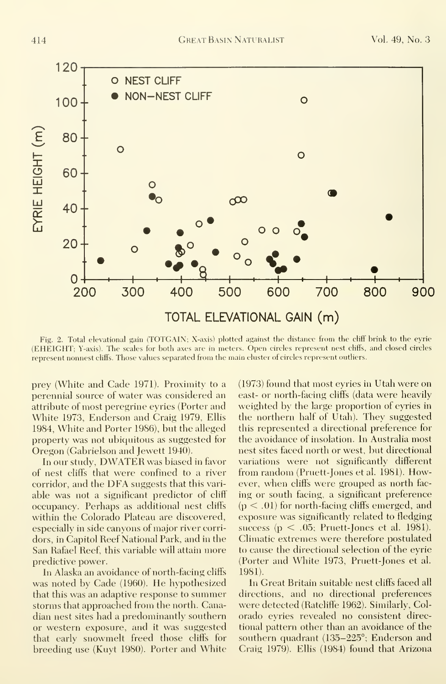

Fig. 2. Total elevational gain (TOTGAIN; X-axis) plotted against the distance from the cliff brink to the eyrie (EHEIGHT; Y-axis). The scales for both axes are in meters. Open circles represent nest cliffs, and closed circles represent nonnest cliffs. Those values separated from the main eluster of circles represent outliers.

prey (White and Cade 1971). Proximity to a perennial source of water was considered an attribute of most peregrine eyries (Porter and White 1973, Enderson and Craig 1979, Ellis 1984, White and Porter 1986), but the alleged property was not ubiquitous as suggested for Oregon (Gabrielson and Jewett 1940).

In our study, DWATER was biased in favor of nest cliffs that were confined to a river corridor, and the DFA suggests that this variable was not a significant predictor of cliff occupancy. Perhaps as additional nest cliffs within the Colorado Plateau are discovered, especially in side canyons of major river corridors, in Capitol Reef National Park, and in the San Rafael Reef, this variable will attain more predictive power.

In Alaska an avoidance of north-faeing cliffs was noted by Cade (1960). He hypothesized that this was an adaptive response to summer storms that approached from the north. Canadian nest sites had a predominantly southern or western exposure, and it was suggested that early snowmelt freed those cliffs for breeding use (Kuyt 1980). Porter and White (1973) found that most eyries in Utah were on east- or north-facing cliffs (data were heavily weighted by the large proportion of eyries in the northern half of Utah). They suggested this represented a directional preference for the avoidance of insolation. In Australia most nest sites faced north or west, but directional variations were not significantly different from random (Pruett-Jones et al. 1981). However, when cliffs were grouped as north facing or south facing, a significant preference  $(p < .01)$  for north-facing cliffs emerged, and exposure was significantly related to fledging success ( $p < .05$ ; Pruett-Jones et al. 1981). Climatic extremes were therefore postulated to cause the directional selection of the eyrie (Porter and White 1973, Pruett-Jones et al. 1981).

In Great Britain suitable nest cliffs faced all directions, and no directional preferences were detected (Ratcliffe 1962). Similarly, Colorado evries revealed no consistent directional pattern other than an avoidance of the southern quadrant (135–225°; Enderson and Craig 1979). Ellis (1984) found that Arizona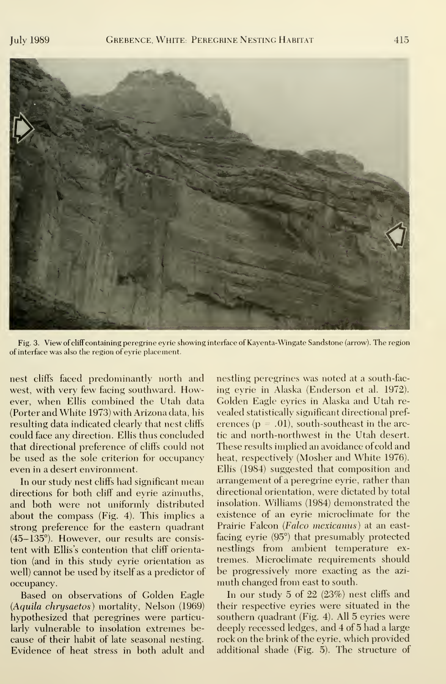

Fig. 3. View of cliff containing peregrine eyrie showing interface of Kayenta-Wingate Sandstone (arrow). The region of interface was also the region of eyrie placement.

nest cliffs faced predominantly north and west, with very few facing southward. However, when Ellis combined the Utah data (Porter and White 1973) with Arizona data, his resulting data indicated clearly that nest cliffs could face any direction. Ellis thus concluded that directional preference of cliffs could not be used as the sole criterion for occupancy even in a desert environment.

In our study nest cliffs had significant mean directions for both cliff and eyrie azimuths, and both were not uniformly distributed about the compass (Fig. 4). This implies a strong preference for the eastern quadrant (45-135°). However, our results are consis tent with Ellis's contention that cliff orientation (and in this study eyrie orientation as well) cannot be used by itself as a predictor of occupancy.

Based on observations of Golden Eagle (Aquila chrysaetos) mortality, Nelson (1969) hypothesized that peregrines were particularly vulnerable to insolation extremes be cause of their habit of late seasonal nesting. Evidence of heat stress in both adult and

nestling peregrines was noted at a south-fac ing eyrie in Alaska (Enderson et al. 1972). Golden Eagle eyries in Alaska and Utah re vealed statistically significant directional pref erences ( $p = .01$ ), south-southeast in the arctic and north-northwest in the Utah desert. These results implied an avoidance of cold and heat, respectively (Mosher and White 1976). Ellis (1984) suggested that composition and arrangement of a peregrine eyrie, rather than directional orientation, were dictated by total insolation. Williams (1984) demonstrated the existence of an eyrie microclimate for the Prairie Falcon (Falco mexicanus) at an eastfacing eyrie (95°) that presumably protected nestlings from ambient temperature ex tremes. Microclimate requirements should be progressively more exacting as the azi muth changed from east to south.

In our study 5 of 22 (23%) nest cliffs and their respective eyries were situated in the southern quadrant (Fig. 4). All 5 eyries were deeply recessed ledges, and 4 of 5 had a large rock on the brink of the eyrie, which provided additional shade (Fig. 5). The structure of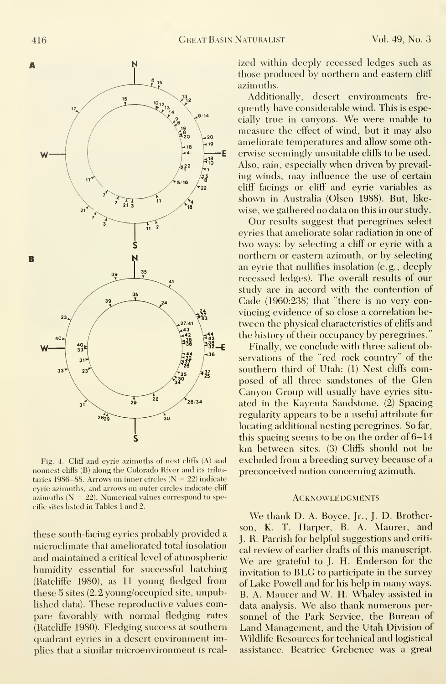

Fig. 4. Cliff and eyrie azimuths of nest cliffs (A) and nonnest cliffs (B) along the Colorado River and its tributaries 1986–88. Arrows on inner circles ( $N = 22$ ) indicate eyrie azimuths, and arrows on outer circles indicate cliff azimuths  $(N = 22)$ . Numerical values correspond to specific sites listed in Tables <sup>1</sup>and 2.

these south-facing eyries probably provided a microclimate that ameliorated total insolation and maintained a critical level of atmospheric humidity essential for successful hatching (Ratcliffe 1980), as 11 young fledged from these 5 sites (2.2 young/occupied site, unpublished data). These reproductive values compare favorably with normal fledging rates (Ratcliffe 1980). Fledging success at southern quadrant eyries in a desert environment implies that a similar microenvironment is realized within deeply recessed ledges such as those produced by northern and eastern cliff azimuths.

Additionally, desert environments fre quently have considerable wind. This is especially true in canyons. We were unable to measure the effect of wind, but it may also ameliorate temperatures and allow some oth erwise seemingly unsuitable cliffs to be used. Also, rain, especially when driven by prevailing winds, may influence the use of certain cliff facings or cliff and eyrie variables as shown in Australia (Olsen 1988). But, like wise, we gathered no data on this in our study.

Our results suggest that peregrines select eyries that ameliorate solar radiation in one of two ways: by selecting a cliff or eyrie with a northern or eastern azimuth, or by selecting an eyrie that nullifies insolation (e.g., deeply recessed ledges). The overall results of our study are in accord with the contention of Cade (1960:238) that "there is no very convincing evidence of so close a correlation between the physical characteristics of cliffs and the history of their occupancy by peregrines."

Finally, we conclude with three salient observations of the "red rock country" of the southern third of Utah: (1) Nest cliffs composed of all three sandstones of the Glen Canyon Group will usually have eyries situ ated in the Kayenta Sandstone. (2) Spacing regularity appears to be a useful attribute for locating additional nesting peregrines. So far, this spacing seems to be on the order of 6-14 km between sites. (3) Cliffs should not be excluded from a breeding survey because of a preconceived notion concerning azimuth.

#### **ACKNOWLEDGMENTS**

We thank D. A. Boyce, Jr., J. D. Brotherson, K. T. Harper, B. A. Maurer, and J. R. Parrish for helpful suggestions and criti cal review of earlier drafts of this manuscript. We are grateful to J. H. Enderson for the invitation to BLG to participate in the survey of Lake Powell and for his help in many ways. B. A. Maurer and W. H. Whaley assisted in data analysis. We also thank numerous per sonnel of the Park Service, the Bureau of Land Management, and the Utah Division of Wildlife Resources for technical and logistical assistance. Beatrice Grebence was a great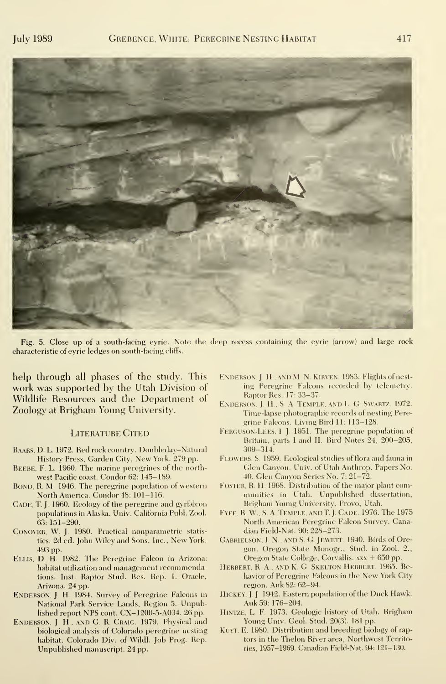

Fig. 5. Close up of a south-facing eyrie. Note the deep recess containing the eyrie (arrow) and large rock characteristic of eyrie ledges on south-facing cliffs.

help through all phases of the study. This work was supported by the Utah Division of Wildlife Resources and the Department of Zoology at Brigham Young University.

#### LITERATURE CITED

- Baars. D L 1972. Red rock country. Doubleday-Natural History Press, Garden City, New York. 279 pp.
- BEEBE, F. L. 1960. The marine peregrines of the northwest Pacific coast. Condor 62: 145-189.
- BOND, R. M 1946. The peregrine population of western North America. Condor 48: 101-116.
- CADE, T. J. 1960. Ecology of the peregrine and gyrfalcon populations in Alaska. Univ. California Publ. Zool. 63: 151-290.
- Conover, W. J. 1980. Practical nonparametric statistics. 2d ed. John Wiley and Sons, Inc., New York. 493 pp.
- Ellis, D. H 1982. The Peregrine Falcon in Arizona: habitat utilization and management recommendations. Inst. Raptor Stud. Res. Rep. 1. Oracle, Arizona. 24 pp.
- ENDERSON, J. H. 1984. Survey of Peregrine Falcons in National Park Service Lands, Region 5. Unpublished report NPS cont. CX-1200-5-A034. 26 pp.
- ENDERSON, J. H., AND G. R. CRAIG. 1979. Physical and biological analysis of Colorado peregrine nesting habitat. Colorado Div. of Wildl. Job Prog. Rep. Unpublished manuscript. 24 pp.
- ENDERSON, J. H., AND M. N. KIRVEN. 1983. Flights of nesting Peregrine Falcons recorded by telemetry. Raptor Res. 17: 33-37.
- ENDERSON, J. H., S. A. TEMPLE, AND L. G. SWARTZ. 1972. Time-lapse photographic records of nesting Peregrine Falcons. Living Bird 11: 113-128.
- Ferguson-Lees, <sup>I</sup> J. 1951. The peregrine population of Britain, parts I and II. Bird Notes 24, 200-205, 309-314.
- Flowers. S. 1959. Ecological studies of flora and fauna in Glen Canyon. Univ. of Utah Anthrop. Papers No. 40. Glen Canyon Series No. 7: 21-72.
- FOSTER, R H 1968. Distribution of the major plant communities in Utah. Unpublished dissertation, Brigham Young University, Provo, Utah.
- Fyfe, <sup>R</sup> W , S. A. Temple, andT. J. Cade. 1976. The <sup>1975</sup> North American Peregrine Falcon Survey. Canadian Field-Nat. 90: 228-273.
- Gabrielson, I. N., and S. G. Jevvett. 1940. Birds of Oregon. Oregon State Monogr. , Stud, in Zool. 2., Oregon State College, Corvallis.  $xx + 650$  pp.
- Herbert. R A., and K. G. Skelton Herbert. 1965. Behavior of Peregrine Falcons in the New York City region. Auk 82: 62-94.
- Hickey, J. J. 1942. Eastern population of the Duck Hawk. Auk 59: 176-204.
- Hintze, L. F. 1973. Geologic history of Utah. Brigham Young Univ. Geol. Stud. 20(3). 181 pp.
- Kuyt, E. 1980. Distribution and breeding biology of raptors in the Thelon River area, Northwest Territories, 1957-1969. Canadian Field-Nat. 94: 121-130.